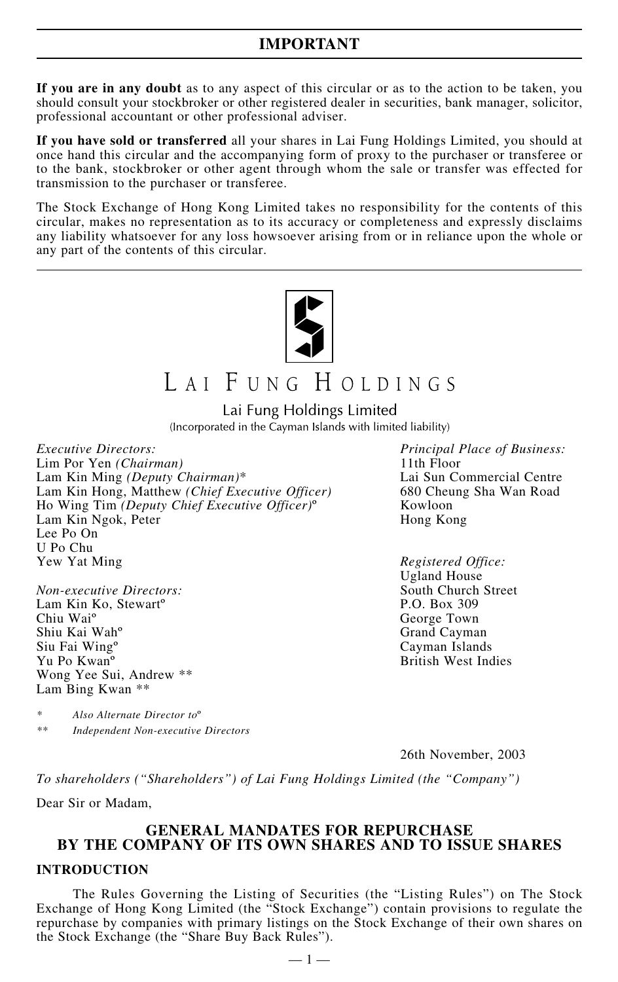**If you are in any doubt** as to any aspect of this circular or as to the action to be taken, you should consult your stockbroker or other registered dealer in securities, bank manager, solicitor, professional accountant or other professional adviser.

**If you have sold or transferred** all your shares in Lai Fung Holdings Limited, you should at once hand this circular and the accompanying form of proxy to the purchaser or transferee or to the bank, stockbroker or other agent through whom the sale or transfer was effected for transmission to the purchaser or transferee.

The Stock Exchange of Hong Kong Limited takes no responsibility for the contents of this circular, makes no representation as to its accuracy or completeness and expressly disclaims any liability whatsoever for any loss howsoever arising from or in reliance upon the whole or any part of the contents of this circular.



# LAI FUNG HOLDINGS

Lai Fung Holdings Limited (Incorporated in the Cayman Islands with limited liability)

*Executive Directors: Principal Place of Business:* Lim Por Yen *(Chairman)* 11th Floor Lam Kin Ming *(Deputy Chairman)*\* Lai Sun Commercial Centre Lam Kin Hong, Matthew *(Chief Executive Officer)* Ho Wing Tim *(Deputy Chief Executive Officer)*º Kowloon Lam Kin Ngok, Peter Hong Kong Lee Po On U Po Chu

*Non-executive Directors:* South Church Street Street Street South Church South Church Street Street Street Street Street Street Street Street Street Street Street Street Street Street Street Street Street Street Street St Lam Kin Ko, Stewart<sup>o</sup> Chiu Wai<sup>o</sup> George Town<br>
Shiu Kai Wah<sup>o</sup> Grand Cayma<br>
Grand Cayma Shiu Kai Wah<sup>o</sup> Grand Cayman Siu Fai Wing<sup>o</sup> Grand Cayman Siu Fai Wing<sup>o</sup> Grand Cayman Island: Yu Po Kwan<sup>o</sup> British West Indies Wong Yee Sui, Andrew \*\* Lam Bing Kwan \*\*

*\* Also Alternate Director to*º *\*\* Independent Non-executive Directors*

*Registered Office:* Ugland House Cayman Islands

26th November, 2003

*To shareholders ("Shareholders") of Lai Fung Holdings Limited (the "Company")*

Dear Sir or Madam,

## **GENERAL MANDATES FOR REPURCHASE BY THE COMPANY OF ITS OWN SHARES AND TO ISSUE SHARES INTRODUCTION**

The Rules Governing the Listing of Securities (the "Listing Rules") on The Stock Exchange of Hong Kong Limited (the "Stock Exchange") contain provisions to regulate the repurchase by companies with primary listings on the Stock Exchange of their own shares on the Stock Exchange (the "Share Buy Back Rules").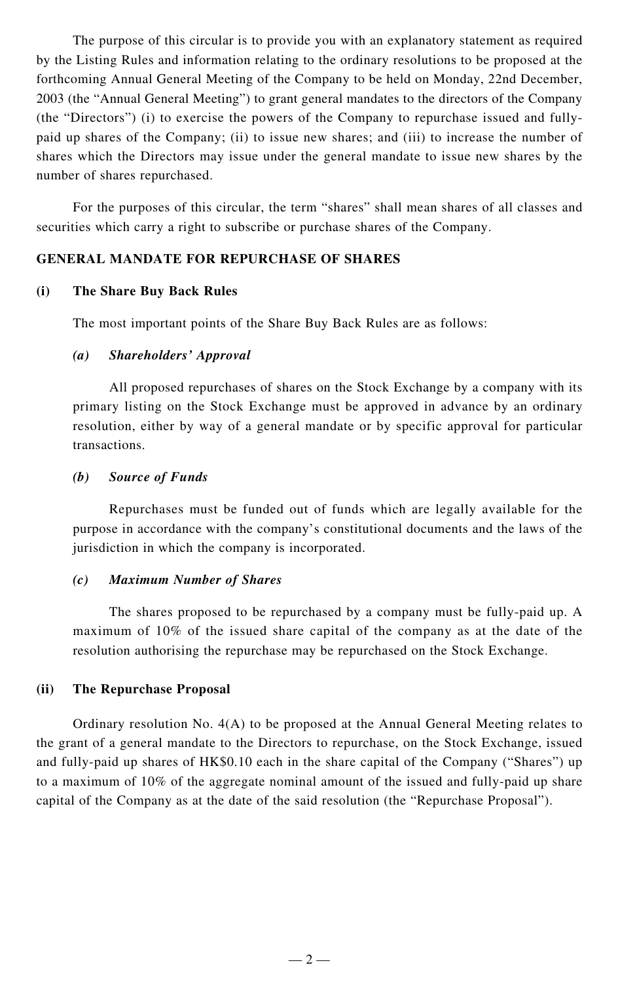The purpose of this circular is to provide you with an explanatory statement as required by the Listing Rules and information relating to the ordinary resolutions to be proposed at the forthcoming Annual General Meeting of the Company to be held on Monday, 22nd December, 2003 (the "Annual General Meeting") to grant general mandates to the directors of the Company (the "Directors") (i) to exercise the powers of the Company to repurchase issued and fullypaid up shares of the Company; (ii) to issue new shares; and (iii) to increase the number of shares which the Directors may issue under the general mandate to issue new shares by the number of shares repurchased.

For the purposes of this circular, the term "shares" shall mean shares of all classes and securities which carry a right to subscribe or purchase shares of the Company.

## **GENERAL MANDATE FOR REPURCHASE OF SHARES**

## **(i) The Share Buy Back Rules**

The most important points of the Share Buy Back Rules are as follows:

## *(a) Shareholders' Approval*

All proposed repurchases of shares on the Stock Exchange by a company with its primary listing on the Stock Exchange must be approved in advance by an ordinary resolution, either by way of a general mandate or by specific approval for particular transactions.

## *(b) Source of Funds*

Repurchases must be funded out of funds which are legally available for the purpose in accordance with the company's constitutional documents and the laws of the jurisdiction in which the company is incorporated.

## *(c) Maximum Number of Shares*

The shares proposed to be repurchased by a company must be fully-paid up. A maximum of 10% of the issued share capital of the company as at the date of the resolution authorising the repurchase may be repurchased on the Stock Exchange.

## **(ii) The Repurchase Proposal**

Ordinary resolution No. 4(A) to be proposed at the Annual General Meeting relates to the grant of a general mandate to the Directors to repurchase, on the Stock Exchange, issued and fully-paid up shares of HK\$0.10 each in the share capital of the Company ("Shares") up to a maximum of 10% of the aggregate nominal amount of the issued and fully-paid up share capital of the Company as at the date of the said resolution (the "Repurchase Proposal").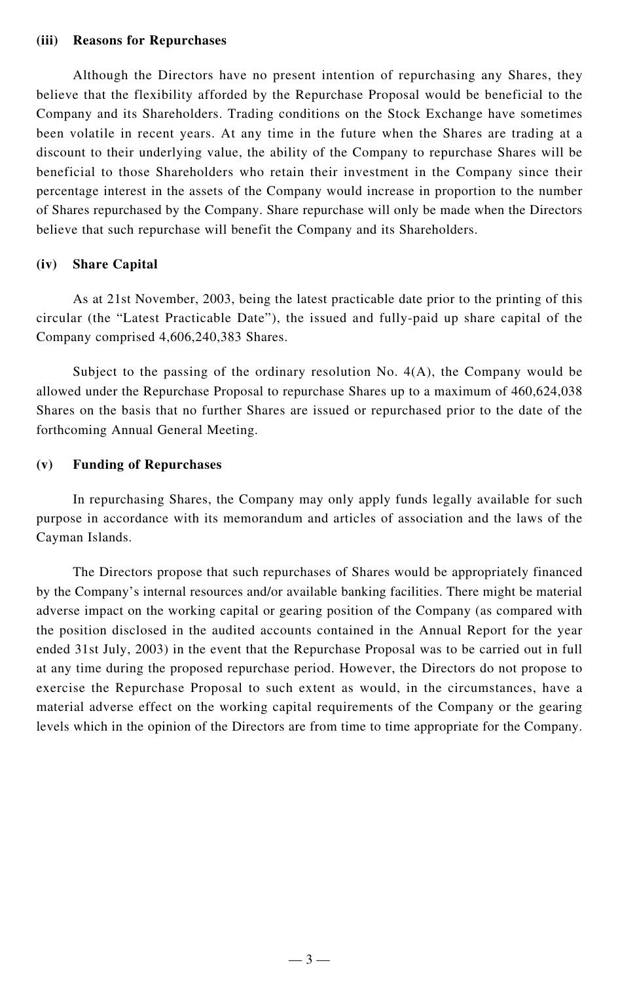#### **(iii) Reasons for Repurchases**

Although the Directors have no present intention of repurchasing any Shares, they believe that the flexibility afforded by the Repurchase Proposal would be beneficial to the Company and its Shareholders. Trading conditions on the Stock Exchange have sometimes been volatile in recent years. At any time in the future when the Shares are trading at a discount to their underlying value, the ability of the Company to repurchase Shares will be beneficial to those Shareholders who retain their investment in the Company since their percentage interest in the assets of the Company would increase in proportion to the number of Shares repurchased by the Company. Share repurchase will only be made when the Directors believe that such repurchase will benefit the Company and its Shareholders.

## **(iv) Share Capital**

As at 21st November, 2003, being the latest practicable date prior to the printing of this circular (the "Latest Practicable Date"), the issued and fully-paid up share capital of the Company comprised 4,606,240,383 Shares.

Subject to the passing of the ordinary resolution No. 4(A), the Company would be allowed under the Repurchase Proposal to repurchase Shares up to a maximum of 460,624,038 Shares on the basis that no further Shares are issued or repurchased prior to the date of the forthcoming Annual General Meeting.

## **(v) Funding of Repurchases**

In repurchasing Shares, the Company may only apply funds legally available for such purpose in accordance with its memorandum and articles of association and the laws of the Cayman Islands.

The Directors propose that such repurchases of Shares would be appropriately financed by the Company's internal resources and/or available banking facilities. There might be material adverse impact on the working capital or gearing position of the Company (as compared with the position disclosed in the audited accounts contained in the Annual Report for the year ended 31st July, 2003) in the event that the Repurchase Proposal was to be carried out in full at any time during the proposed repurchase period. However, the Directors do not propose to exercise the Repurchase Proposal to such extent as would, in the circumstances, have a material adverse effect on the working capital requirements of the Company or the gearing levels which in the opinion of the Directors are from time to time appropriate for the Company.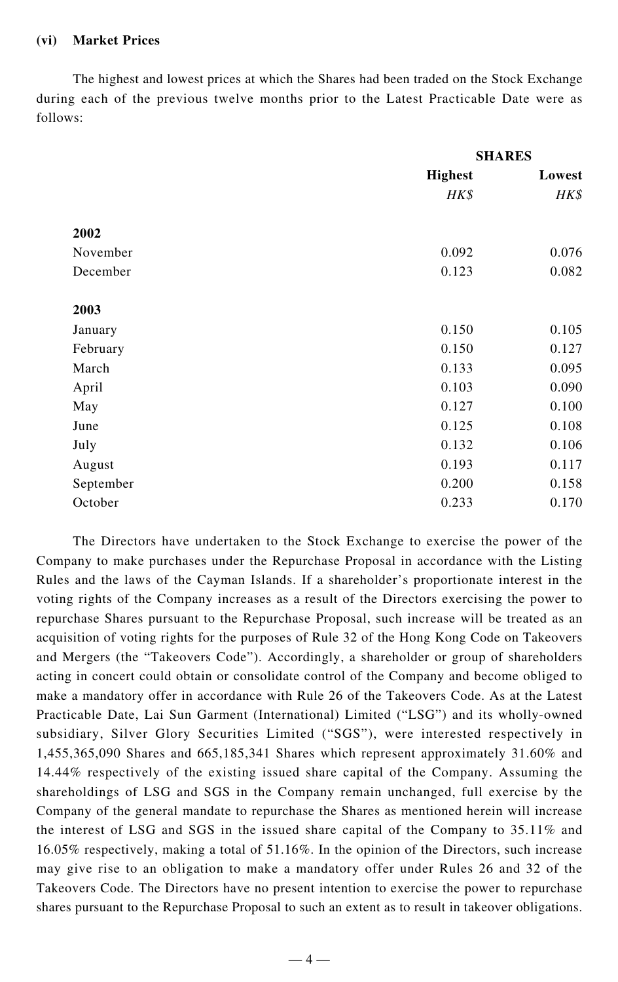## **(vi) Market Prices**

The highest and lowest prices at which the Shares had been traded on the Stock Exchange during each of the previous twelve months prior to the Latest Practicable Date were as follows:

|           | <b>SHARES</b>  |        |
|-----------|----------------|--------|
|           | <b>Highest</b> | Lowest |
|           | HK\$           | HK\$   |
| 2002      |                |        |
| November  | 0.092          | 0.076  |
| December  | 0.123          | 0.082  |
| 2003      |                |        |
| January   | 0.150          | 0.105  |
| February  | 0.150          | 0.127  |
| March     | 0.133          | 0.095  |
| April     | 0.103          | 0.090  |
| May       | 0.127          | 0.100  |
| June      | 0.125          | 0.108  |
| July      | 0.132          | 0.106  |
| August    | 0.193          | 0.117  |
| September | 0.200          | 0.158  |
| October   | 0.233          | 0.170  |

The Directors have undertaken to the Stock Exchange to exercise the power of the Company to make purchases under the Repurchase Proposal in accordance with the Listing Rules and the laws of the Cayman Islands. If a shareholder's proportionate interest in the voting rights of the Company increases as a result of the Directors exercising the power to repurchase Shares pursuant to the Repurchase Proposal, such increase will be treated as an acquisition of voting rights for the purposes of Rule 32 of the Hong Kong Code on Takeovers and Mergers (the "Takeovers Code"). Accordingly, a shareholder or group of shareholders acting in concert could obtain or consolidate control of the Company and become obliged to make a mandatory offer in accordance with Rule 26 of the Takeovers Code. As at the Latest Practicable Date, Lai Sun Garment (International) Limited ("LSG") and its wholly-owned subsidiary, Silver Glory Securities Limited ("SGS"), were interested respectively in 1,455,365,090 Shares and 665,185,341 Shares which represent approximately 31.60% and 14.44% respectively of the existing issued share capital of the Company. Assuming the shareholdings of LSG and SGS in the Company remain unchanged, full exercise by the Company of the general mandate to repurchase the Shares as mentioned herein will increase the interest of LSG and SGS in the issued share capital of the Company to 35.11% and 16.05% respectively, making a total of 51.16%. In the opinion of the Directors, such increase may give rise to an obligation to make a mandatory offer under Rules 26 and 32 of the Takeovers Code. The Directors have no present intention to exercise the power to repurchase shares pursuant to the Repurchase Proposal to such an extent as to result in takeover obligations.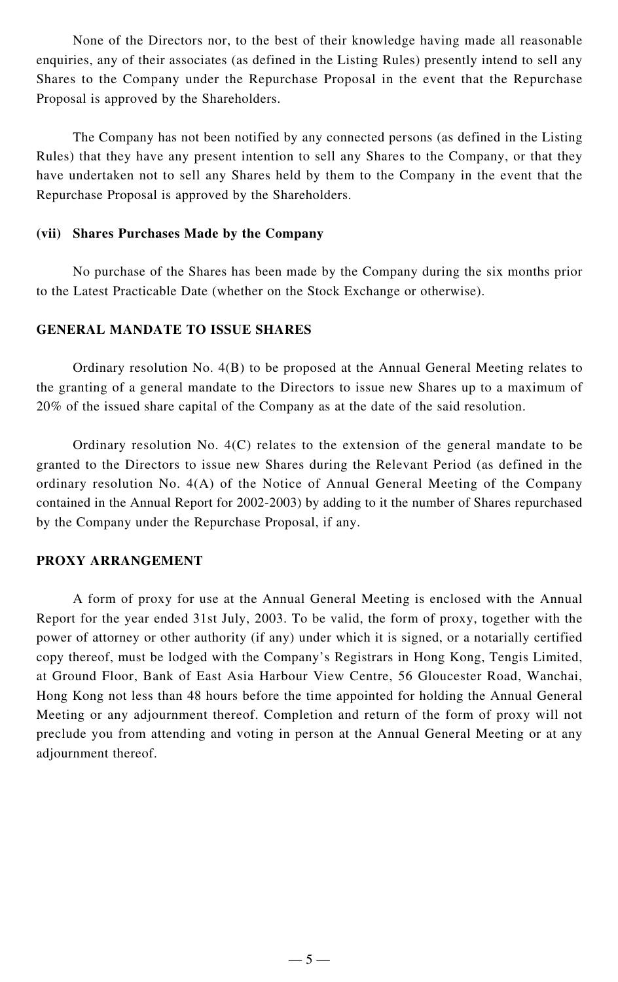None of the Directors nor, to the best of their knowledge having made all reasonable enquiries, any of their associates (as defined in the Listing Rules) presently intend to sell any Shares to the Company under the Repurchase Proposal in the event that the Repurchase Proposal is approved by the Shareholders.

The Company has not been notified by any connected persons (as defined in the Listing Rules) that they have any present intention to sell any Shares to the Company, or that they have undertaken not to sell any Shares held by them to the Company in the event that the Repurchase Proposal is approved by the Shareholders.

## **(vii) Shares Purchases Made by the Company**

No purchase of the Shares has been made by the Company during the six months prior to the Latest Practicable Date (whether on the Stock Exchange or otherwise).

## **GENERAL MANDATE TO ISSUE SHARES**

Ordinary resolution No. 4(B) to be proposed at the Annual General Meeting relates to the granting of a general mandate to the Directors to issue new Shares up to a maximum of 20% of the issued share capital of the Company as at the date of the said resolution.

Ordinary resolution No. 4(C) relates to the extension of the general mandate to be granted to the Directors to issue new Shares during the Relevant Period (as defined in the ordinary resolution No. 4(A) of the Notice of Annual General Meeting of the Company contained in the Annual Report for 2002-2003) by adding to it the number of Shares repurchased by the Company under the Repurchase Proposal, if any.

## **PROXY ARRANGEMENT**

A form of proxy for use at the Annual General Meeting is enclosed with the Annual Report for the year ended 31st July, 2003. To be valid, the form of proxy, together with the power of attorney or other authority (if any) under which it is signed, or a notarially certified copy thereof, must be lodged with the Company's Registrars in Hong Kong, Tengis Limited, at Ground Floor, Bank of East Asia Harbour View Centre, 56 Gloucester Road, Wanchai, Hong Kong not less than 48 hours before the time appointed for holding the Annual General Meeting or any adjournment thereof. Completion and return of the form of proxy will not preclude you from attending and voting in person at the Annual General Meeting or at any adjournment thereof.